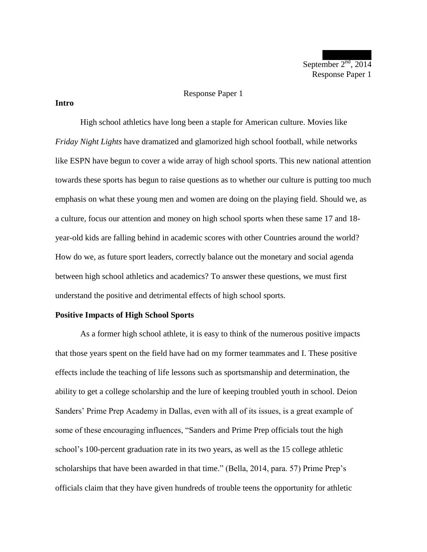September  $2<sup>nd</sup>$ , 2014 Response Paper 1

### Response Paper 1

## **Intro**

High school athletics have long been a staple for American culture. Movies like *Friday Night Lights* have dramatized and glamorized high school football, while networks like ESPN have begun to cover a wide array of high school sports. This new national attention towards these sports has begun to raise questions as to whether our culture is putting too much emphasis on what these young men and women are doing on the playing field. Should we, as a culture, focus our attention and money on high school sports when these same 17 and 18 year-old kids are falling behind in academic scores with other Countries around the world? How do we, as future sport leaders, correctly balance out the monetary and social agenda between high school athletics and academics? To answer these questions, we must first understand the positive and detrimental effects of high school sports.

### **Positive Impacts of High School Sports**

As a former high school athlete, it is easy to think of the numerous positive impacts that those years spent on the field have had on my former teammates and I. These positive effects include the teaching of life lessons such as sportsmanship and determination, the ability to get a college scholarship and the lure of keeping troubled youth in school. Deion Sanders' Prime Prep Academy in Dallas, even with all of its issues, is a great example of some of these encouraging influences, "Sanders and Prime Prep officials tout the high school's 100-percent graduation rate in its two years, as well as the 15 college athletic scholarships that have been awarded in that time." (Bella, 2014, para. 57) Prime Prep's officials claim that they have given hundreds of trouble teens the opportunity for athletic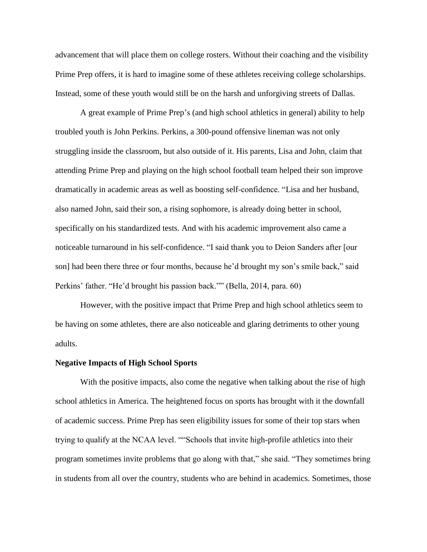advancement that will place them on college rosters. Without their coaching and the visibility Prime Prep offers, it is hard to imagine some of these athletes receiving college scholarships. Instead, some of these youth would still be on the harsh and unforgiving streets of Dallas.

A great example of Prime Prep's (and high school athletics in general) ability to help troubled youth is John Perkins. Perkins, a 300-pound offensive lineman was not only struggling inside the classroom, but also outside of it. His parents, Lisa and John, claim that attending Prime Prep and playing on the high school football team helped their son improve dramatically in academic areas as well as boosting self-confidence. "Lisa and her husband, also named John, said their son, a rising sophomore, is already doing better in school, specifically on his standardized tests. And with his academic improvement also came a noticeable turnaround in his self-confidence. "I said thank you to Deion Sanders after [our son] had been there three or four months, because he'd brought my son's smile back," said Perkins' father. "He'd brought his passion back."" (Bella, 2014, para. 60)

However, with the positive impact that Prime Prep and high school athletics seem to be having on some athletes, there are also noticeable and glaring detriments to other young adults.

## **Negative Impacts of High School Sports**

With the positive impacts, also come the negative when talking about the rise of high school athletics in America. The heightened focus on sports has brought with it the downfall of academic success. Prime Prep has seen eligibility issues for some of their top stars when trying to qualify at the NCAA level. ""Schools that invite high-profile athletics into their program sometimes invite problems that go along with that," she said. "They sometimes bring in students from all over the country, students who are behind in academics. Sometimes, those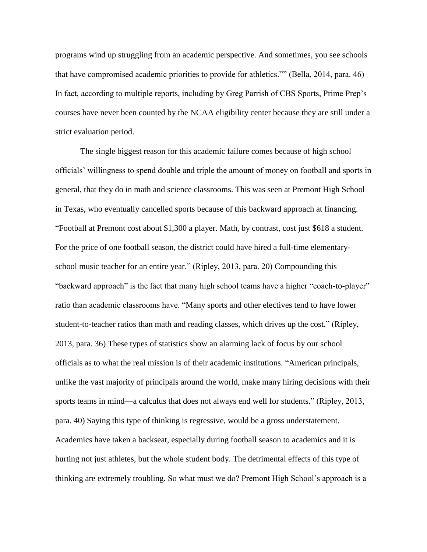programs wind up struggling from an academic perspective. And sometimes, you see schools that have compromised academic priorities to provide for athletics."" (Bella, 2014, para. 46) In fact, according to multiple reports, including by Greg Parrish of CBS Sports, Prime Prep's courses have never been counted by the NCAA eligibility center because they are still under a strict evaluation period.

The single biggest reason for this academic failure comes because of high school officials' willingness to spend double and triple the amount of money on football and sports in general, that they do in math and science classrooms. This was seen at Premont High School in Texas, who eventually cancelled sports because of this backward approach at financing. "Football at Premont cost about \$1,300 a player. Math, by contrast, cost just \$618 a student. For the price of one football season, the district could have hired a full-time elementaryschool music teacher for an entire year." (Ripley, 2013, para. 20) Compounding this "backward approach" is the fact that many high school teams have a higher "coach-to-player" ratio than academic classrooms have. "Many sports and other electives tend to have lower student-to-teacher ratios than math and reading classes, which drives up the cost." (Ripley, 2013, para. 36) These types of statistics show an alarming lack of focus by our school officials as to what the real mission is of their academic institutions. "American principals, unlike the vast majority of principals around the world, make many hiring decisions with their sports teams in mind—a calculus that does not always end well for students." (Ripley, 2013, para. 40) Saying this type of thinking is regressive, would be a gross understatement. Academics have taken a backseat, especially during football season to academics and it is hurting not just athletes, but the whole student body. The detrimental effects of this type of thinking are extremely troubling. So what must we do? Premont High School's approach is a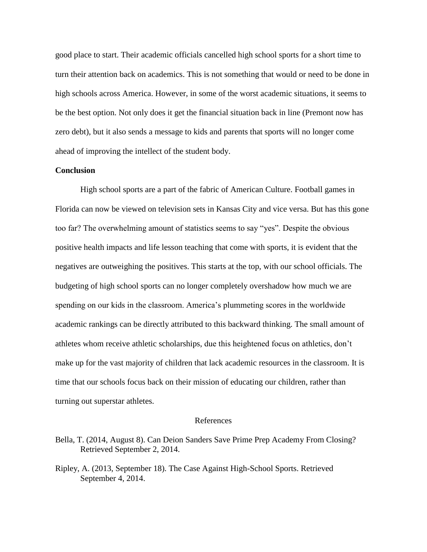good place to start. Their academic officials cancelled high school sports for a short time to turn their attention back on academics. This is not something that would or need to be done in high schools across America. However, in some of the worst academic situations, it seems to be the best option. Not only does it get the financial situation back in line (Premont now has zero debt), but it also sends a message to kids and parents that sports will no longer come ahead of improving the intellect of the student body.

# **Conclusion**

High school sports are a part of the fabric of American Culture. Football games in Florida can now be viewed on television sets in Kansas City and vice versa. But has this gone too far? The overwhelming amount of statistics seems to say "yes". Despite the obvious positive health impacts and life lesson teaching that come with sports, it is evident that the negatives are outweighing the positives. This starts at the top, with our school officials. The budgeting of high school sports can no longer completely overshadow how much we are spending on our kids in the classroom. America's plummeting scores in the worldwide academic rankings can be directly attributed to this backward thinking. The small amount of athletes whom receive athletic scholarships, due this heightened focus on athletics, don't make up for the vast majority of children that lack academic resources in the classroom. It is time that our schools focus back on their mission of educating our children, rather than turning out superstar athletes.

### References

Bella, T. (2014, August 8). Can Deion Sanders Save Prime Prep Academy From Closing? Retrieved September 2, 2014.

Ripley, A. (2013, September 18). The Case Against High-School Sports. Retrieved September 4, 2014.